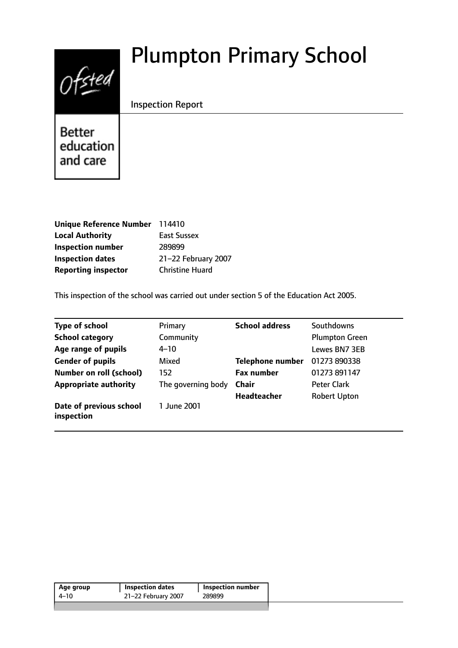# $0$ fsted

# Plumpton Primary School

# Inspection Report

**Better** education and care

| Unique Reference Number 114410 |                        |
|--------------------------------|------------------------|
| <b>Local Authority</b>         | <b>East Sussex</b>     |
| <b>Inspection number</b>       | 289899                 |
| <b>Inspection dates</b>        | 21-22 February 2007    |
| <b>Reporting inspector</b>     | <b>Christine Huard</b> |

This inspection of the school was carried out under section 5 of the Education Act 2005.

| <b>Type of school</b>                 | Primary            | <b>School address</b> | Southdowns            |
|---------------------------------------|--------------------|-----------------------|-----------------------|
| <b>School category</b>                | Community          |                       | <b>Plumpton Green</b> |
| Age range of pupils                   | 4–10               |                       | Lewes BN7 3EB         |
| <b>Gender of pupils</b>               | Mixed              | Telephone number      | 01273 890338          |
| <b>Number on roll (school)</b>        | 152                | <b>Fax number</b>     | 01273 891147          |
| <b>Appropriate authority</b>          | The governing body | <b>Chair</b>          | <b>Peter Clark</b>    |
|                                       |                    | Headteacher           | <b>Robert Upton</b>   |
| Date of previous school<br>inspection | 1 June 2001        |                       |                       |

| Age group | <b>Inspection dates</b> | Inspection number |
|-----------|-------------------------|-------------------|
| 4–10      | 21-22 February 2007     | 289899            |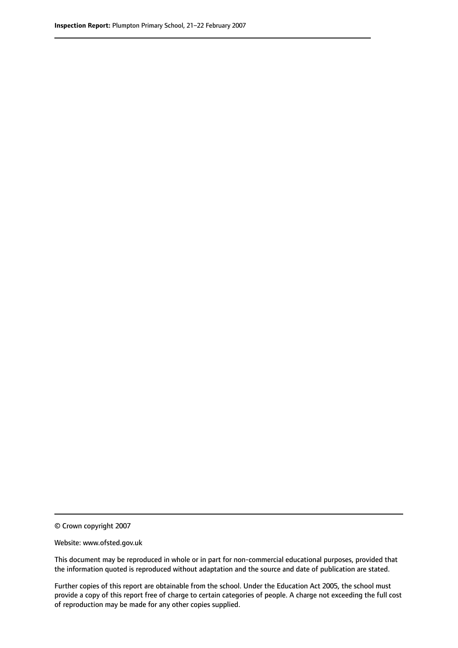© Crown copyright 2007

Website: www.ofsted.gov.uk

This document may be reproduced in whole or in part for non-commercial educational purposes, provided that the information quoted is reproduced without adaptation and the source and date of publication are stated.

Further copies of this report are obtainable from the school. Under the Education Act 2005, the school must provide a copy of this report free of charge to certain categories of people. A charge not exceeding the full cost of reproduction may be made for any other copies supplied.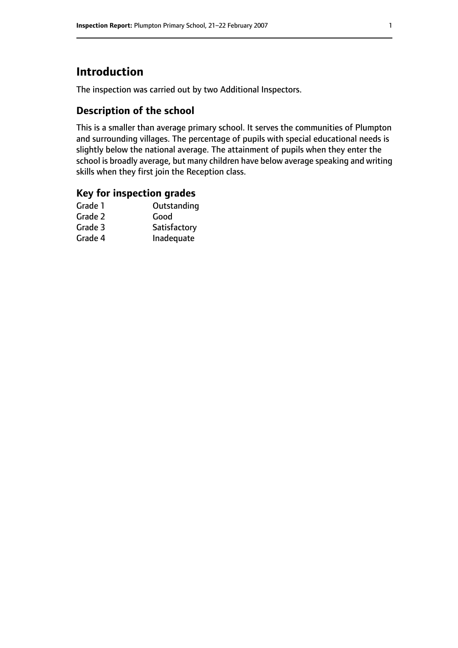# **Introduction**

The inspection was carried out by two Additional Inspectors.

# **Description of the school**

This is a smaller than average primary school. It serves the communities of Plumpton and surrounding villages. The percentage of pupils with special educational needs is slightly below the national average. The attainment of pupils when they enter the school is broadly average, but many children have below average speaking and writing skills when they first join the Reception class.

### **Key for inspection grades**

| Good         |
|--------------|
|              |
| Satisfactory |
| Inadequate   |
|              |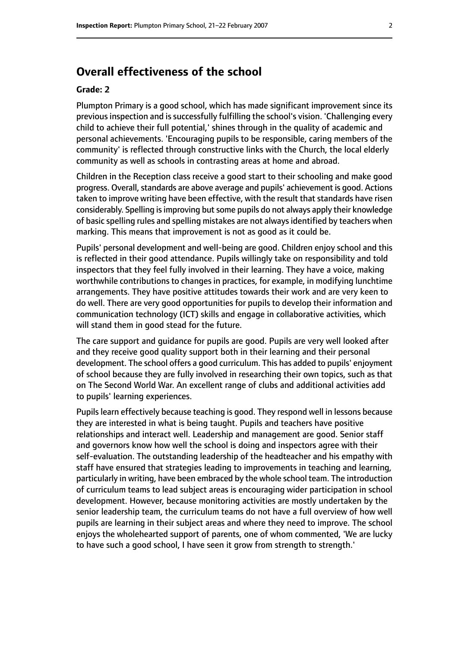# **Overall effectiveness of the school**

#### **Grade: 2**

Plumpton Primary is a good school, which has made significant improvement since its previous inspection and is successfully fulfilling the school's vision. 'Challenging every child to achieve their full potential,' shines through in the quality of academic and personal achievements. 'Encouraging pupils to be responsible, caring members of the community' is reflected through constructive links with the Church, the local elderly community as well as schools in contrasting areas at home and abroad.

Children in the Reception class receive a good start to their schooling and make good progress. Overall, standards are above average and pupils' achievement is good. Actions taken to improve writing have been effective, with the result that standards have risen considerably. Spelling is improving but some pupils do not always apply their knowledge of basic spelling rules and spelling mistakes are not alwaysidentified by teachers when marking. This means that improvement is not as good as it could be.

Pupils' personal development and well-being are good. Children enjoy school and this is reflected in their good attendance. Pupils willingly take on responsibility and told inspectors that they feel fully involved in their learning. They have a voice, making worthwhile contributions to changes in practices, for example, in modifying lunchtime arrangements. They have positive attitudes towards their work and are very keen to do well. There are very good opportunities for pupils to develop their information and communication technology (ICT) skills and engage in collaborative activities, which will stand them in good stead for the future.

The care support and guidance for pupils are good. Pupils are very well looked after and they receive good quality support both in their learning and their personal development. The school offers a good curriculum. This has added to pupils' enjoyment of school because they are fully involved in researching their own topics, such as that on The Second World War. An excellent range of clubs and additional activities add to pupils' learning experiences.

Pupils learn effectively because teaching is good. They respond well in lessons because they are interested in what is being taught. Pupils and teachers have positive relationships and interact well. Leadership and management are good. Senior staff and governors know how well the school is doing and inspectors agree with their self-evaluation. The outstanding leadership of the headteacher and his empathy with staff have ensured that strategies leading to improvements in teaching and learning, particularly in writing, have been embraced by the whole school team. The introduction of curriculum teams to lead subject areas is encouraging wider participation in school development. However, because monitoring activities are mostly undertaken by the senior leadership team, the curriculum teams do not have a full overview of how well pupils are learning in their subject areas and where they need to improve. The school enjoys the wholehearted support of parents, one of whom commented, 'We are lucky to have such a good school, I have seen it grow from strength to strength.'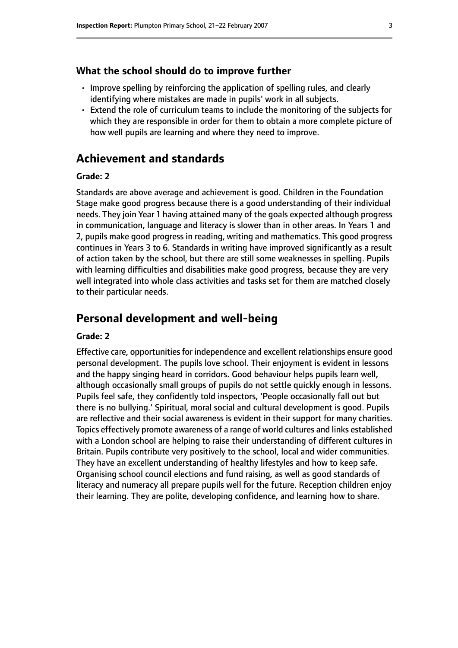#### **What the school should do to improve further**

- Improve spelling by reinforcing the application of spelling rules, and clearly identifying where mistakes are made in pupils' work in all subjects.
- Extend the role of curriculum teams to include the monitoring of the subjects for which they are responsible in order for them to obtain a more complete picture of how well pupils are learning and where they need to improve.

# **Achievement and standards**

#### **Grade: 2**

Standards are above average and achievement is good. Children in the Foundation Stage make good progress because there is a good understanding of their individual needs. They join Year 1 having attained many of the goals expected although progress in communication, language and literacy is slower than in other areas. In Years 1 and 2, pupils make good progress in reading, writing and mathematics. This good progress continues in Years 3 to 6. Standards in writing have improved significantly as a result of action taken by the school, but there are still some weaknesses in spelling. Pupils with learning difficulties and disabilities make good progress, because they are very well integrated into whole class activities and tasks set for them are matched closely to their particular needs.

# **Personal development and well-being**

#### **Grade: 2**

Effective care, opportunitiesfor independence and excellent relationships ensure good personal development. The pupils love school. Their enjoyment is evident in lessons and the happy singing heard in corridors. Good behaviour helps pupils learn well, although occasionally small groups of pupils do not settle quickly enough in lessons. Pupils feel safe, they confidently told inspectors, 'People occasionally fall out but there is no bullying.' Spiritual, moral social and cultural development is good. Pupils are reflective and their social awareness is evident in their support for many charities. Topics effectively promote awareness of a range of world cultures and links established with a London school are helping to raise their understanding of different cultures in Britain. Pupils contribute very positively to the school, local and wider communities. They have an excellent understanding of healthy lifestyles and how to keep safe. Organising school council elections and fund raising, as well as good standards of literacy and numeracy all prepare pupils well for the future. Reception children enjoy their learning. They are polite, developing confidence, and learning how to share.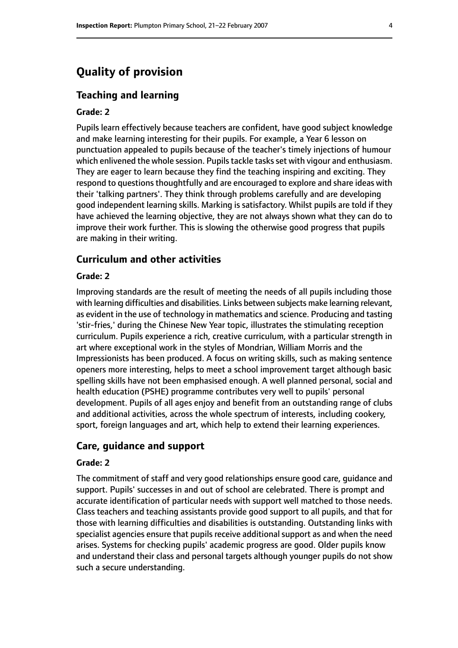# **Quality of provision**

#### **Teaching and learning**

#### **Grade: 2**

Pupils learn effectively because teachers are confident, have good subject knowledge and make learning interesting for their pupils. For example, a Year 6 lesson on punctuation appealed to pupils because of the teacher's timely injections of humour which enlivened the whole session. Pupils tackle tasks set with vigour and enthusiasm. They are eager to learn because they find the teaching inspiring and exciting. They respond to questions thoughtfully and are encouraged to explore and share ideas with their 'talking partners'. They think through problems carefully and are developing good independent learning skills. Marking is satisfactory. Whilst pupils are told if they have achieved the learning objective, they are not always shown what they can do to improve their work further. This is slowing the otherwise good progress that pupils are making in their writing.

#### **Curriculum and other activities**

#### **Grade: 2**

Improving standards are the result of meeting the needs of all pupils including those with learning difficulties and disabilities. Links between subjects make learning relevant, as evident in the use of technology in mathematics and science. Producing and tasting 'stir-fries,' during the Chinese New Year topic, illustrates the stimulating reception curriculum. Pupils experience a rich, creative curriculum, with a particular strength in art where exceptional work in the styles of Mondrian, William Morris and the Impressionists has been produced. A focus on writing skills, such as making sentence openers more interesting, helps to meet a school improvement target although basic spelling skills have not been emphasised enough. A well planned personal, social and health education (PSHE) programme contributes very well to pupils' personal development. Pupils of all ages enjoy and benefit from an outstanding range of clubs and additional activities, across the whole spectrum of interests, including cookery, sport, foreign languages and art, which help to extend their learning experiences.

#### **Care, guidance and support**

#### **Grade: 2**

The commitment of staff and very good relationships ensure good care, guidance and support. Pupils' successes in and out of school are celebrated. There is prompt and accurate identification of particular needs with support well matched to those needs. Class teachers and teaching assistants provide good support to all pupils, and that for those with learning difficulties and disabilities is outstanding. Outstanding links with specialist agencies ensure that pupils receive additional support as and when the need arises. Systems for checking pupils' academic progress are good. Older pupils know and understand their class and personal targets although younger pupils do not show such a secure understanding.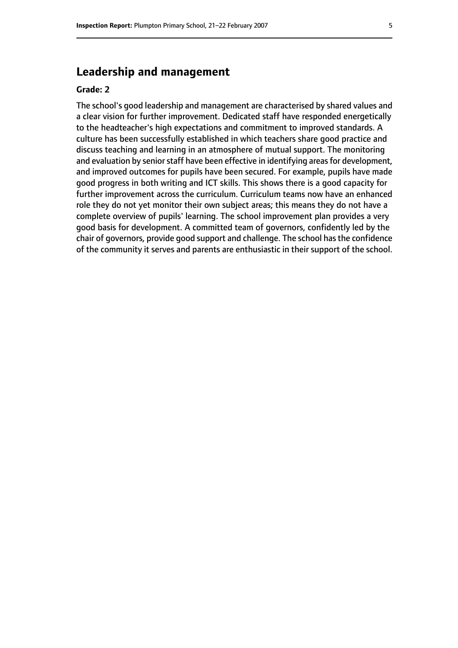# **Leadership and management**

#### **Grade: 2**

The school's good leadership and management are characterised by shared values and a clear vision for further improvement. Dedicated staff have responded energetically to the headteacher's high expectations and commitment to improved standards. A culture has been successfully established in which teachers share good practice and discuss teaching and learning in an atmosphere of mutual support. The monitoring and evaluation by senior staff have been effective in identifying areas for development, and improved outcomes for pupils have been secured. For example, pupils have made good progress in both writing and ICT skills. This shows there is a good capacity for further improvement across the curriculum. Curriculum teams now have an enhanced role they do not yet monitor their own subject areas; this means they do not have a complete overview of pupils' learning. The school improvement plan provides a very good basis for development. A committed team of governors, confidently led by the chair of governors, provide good support and challenge. The school hasthe confidence of the community it serves and parents are enthusiastic in their support of the school.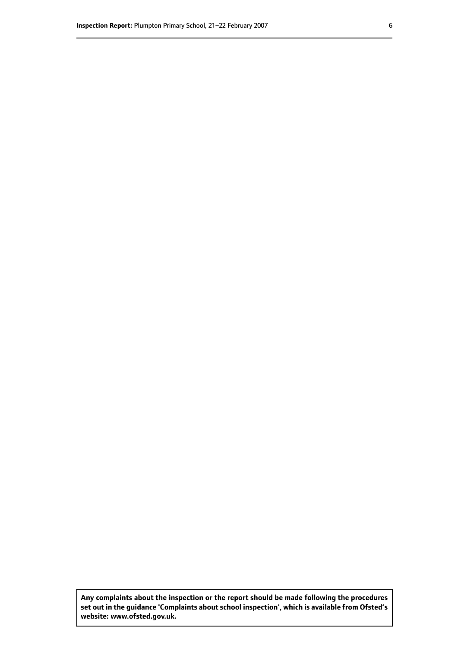**Any complaints about the inspection or the report should be made following the procedures set out inthe guidance 'Complaints about school inspection', whichis available from Ofsted's website: www.ofsted.gov.uk.**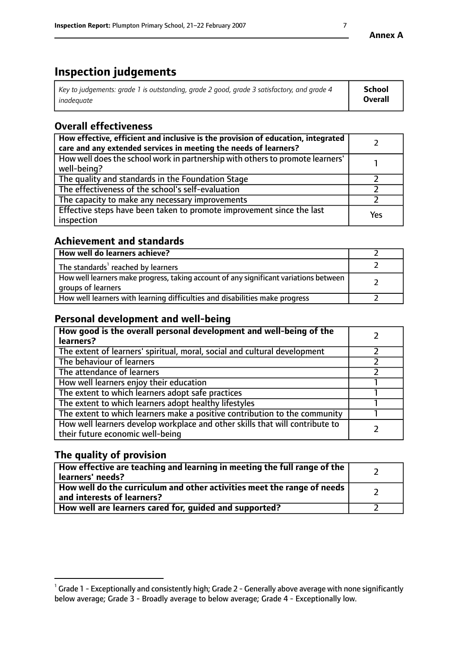# **Inspection judgements**

| Key to judgements: grade 1 is outstanding, grade 2 good, grade 3 satisfactory, and grade 4 | <b>School</b>  |
|--------------------------------------------------------------------------------------------|----------------|
| inadeauate                                                                                 | <b>Overall</b> |

# **Overall effectiveness**

| How effective, efficient and inclusive is the provision of education, integrated<br>care and any extended services in meeting the needs of learners? |     |
|------------------------------------------------------------------------------------------------------------------------------------------------------|-----|
| How well does the school work in partnership with others to promote learners'<br>well-being?                                                         |     |
| The quality and standards in the Foundation Stage                                                                                                    |     |
| The effectiveness of the school's self-evaluation                                                                                                    |     |
| The capacity to make any necessary improvements                                                                                                      |     |
| Effective steps have been taken to promote improvement since the last<br>inspection                                                                  | Yes |

# **Achievement and standards**

| How well do learners achieve?                                                                               |  |
|-------------------------------------------------------------------------------------------------------------|--|
| The standards <sup>1</sup> reached by learners                                                              |  |
| How well learners make progress, taking account of any significant variations between<br>groups of learners |  |
| How well learners with learning difficulties and disabilities make progress                                 |  |

# **Personal development and well-being**

| How good is the overall personal development and well-being of the<br>learners?                                  |  |
|------------------------------------------------------------------------------------------------------------------|--|
| The extent of learners' spiritual, moral, social and cultural development                                        |  |
| The behaviour of learners                                                                                        |  |
| The attendance of learners                                                                                       |  |
| How well learners enjoy their education                                                                          |  |
| The extent to which learners adopt safe practices                                                                |  |
| The extent to which learners adopt healthy lifestyles                                                            |  |
| The extent to which learners make a positive contribution to the community                                       |  |
| How well learners develop workplace and other skills that will contribute to<br>their future economic well-being |  |

# **The quality of provision**

| How effective are teaching and learning in meeting the full range of the<br>learners' needs?          |  |
|-------------------------------------------------------------------------------------------------------|--|
| How well do the curriculum and other activities meet the range of needs<br>and interests of learners? |  |
| How well are learners cared for, guided and supported?                                                |  |

 $^1$  Grade 1 - Exceptionally and consistently high; Grade 2 - Generally above average with none significantly below average; Grade 3 - Broadly average to below average; Grade 4 - Exceptionally low.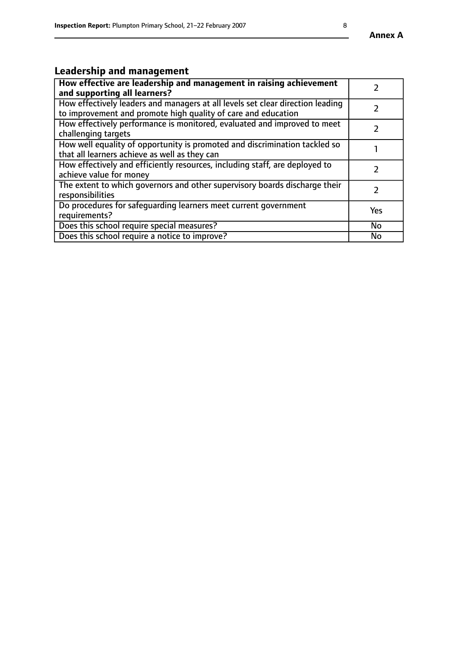# **Leadership and management**

| How effective are leadership and management in raising achievement<br>and supporting all learners?                                              |               |
|-------------------------------------------------------------------------------------------------------------------------------------------------|---------------|
| How effectively leaders and managers at all levels set clear direction leading<br>to improvement and promote high quality of care and education |               |
| How effectively performance is monitored, evaluated and improved to meet<br>challenging targets                                                 |               |
| How well equality of opportunity is promoted and discrimination tackled so<br>that all learners achieve as well as they can                     |               |
| How effectively and efficiently resources, including staff, are deployed to<br>achieve value for money                                          | $\mathcal{P}$ |
| The extent to which governors and other supervisory boards discharge their<br>responsibilities                                                  |               |
| Do procedures for safequarding learners meet current government<br>requirements?                                                                | Yes           |
| Does this school require special measures?                                                                                                      | No            |
| Does this school require a notice to improve?                                                                                                   | <b>No</b>     |